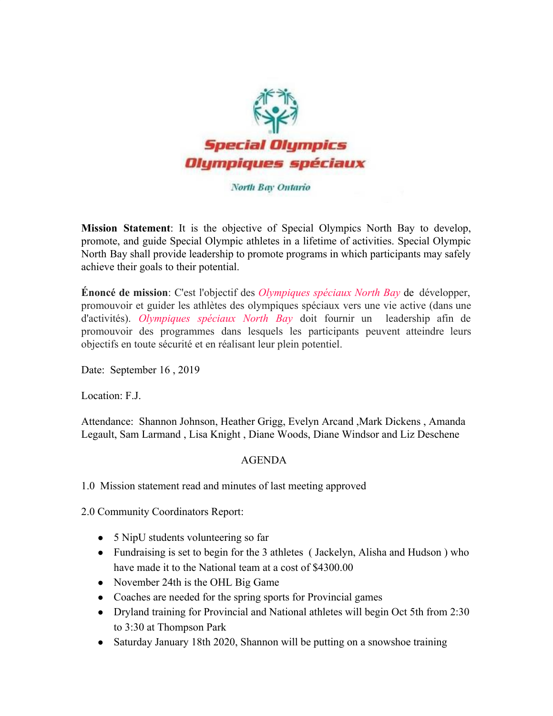

## North Bay Ontario

**Mission Statement**: It is the objective of Special Olympics North Bay to develop, promote, and guide Special Olympic athletes in a lifetime of activities. Special Olympic North Bay shall provide leadership to promote programs in which participants may safely achieve their goals to their potential.

**Énoncé de mission**: C'est l'objectif des *Olympiques spéciaux North Bay* de développer, promouvoir et guider les athlètes des olympiques spéciaux vers une vie active (dans une d'activités). *Olympiques spéciaux North Bay* doit fournir un leadership afin de promouvoir des programmes dans lesquels les participants peuvent atteindre leurs objectifs en toute sécurité et en réalisant leur plein potentiel.

Date: September 16 , 2019

Location: F.J.

Attendance: Shannon Johnson, Heather Grigg, Evelyn Arcand ,Mark Dickens , Amanda Legault, Sam Larmand , Lisa Knight , Diane Woods, Diane Windsor and Liz Deschene

## AGENDA

1.0 Mission statement read and minutes of last meeting approved

2.0 Community Coordinators Report:

- 5 NipU students volunteering so far
- Fundraising is set to begin for the 3 athletes (Jackelyn, Alisha and Hudson) who have made it to the National team at a cost of \$4300.00
- November 24th is the OHL Big Game
- Coaches are needed for the spring sports for Provincial games
- Dryland training for Provincial and National athletes will begin Oct 5th from 2:30 to 3:30 at Thompson Park
- Saturday January 18th 2020, Shannon will be putting on a snowshoe training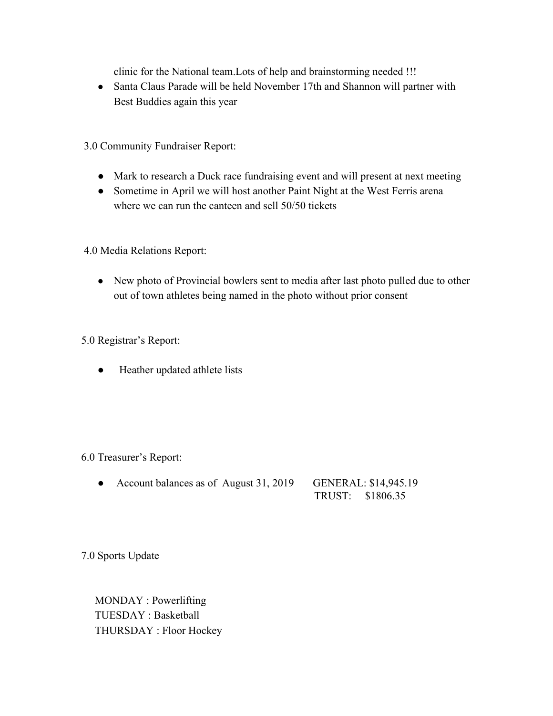clinic for the National team.Lots of help and brainstorming needed !!!

- Santa Claus Parade will be held November 17th and Shannon will partner with Best Buddies again this year
- 3.0 Community Fundraiser Report:
	- Mark to research a Duck race fundraising event and will present at next meeting
	- Sometime in April we will host another Paint Night at the West Ferris arena where we can run the canteen and sell 50/50 tickets

4.0 Media Relations Report:

• New photo of Provincial bowlers sent to media after last photo pulled due to other out of town athletes being named in the photo without prior consent

5.0 Registrar's Report:

● Heather updated athlete lists

## 6.0 Treasurer's Report:

• Account balances as of August 31, 2019 GENERAL: \$14,945.19 TRUST: \$1806.35

7.0 Sports Update

 MONDAY : Powerlifting TUESDAY : Basketball THURSDAY : Floor Hockey